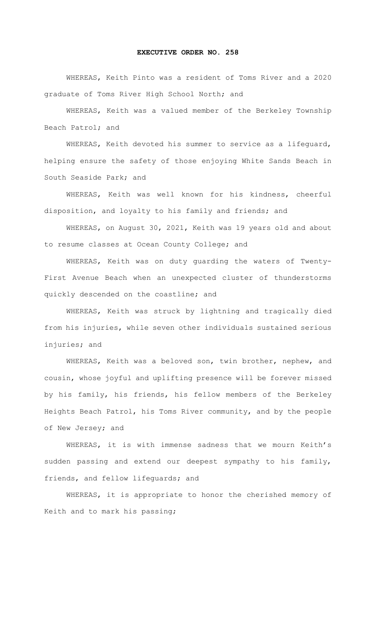## **EXECUTIVE ORDER NO. 258**

WHEREAS, Keith Pinto was a resident of Toms River and a 2020 graduate of Toms River High School North; and

WHEREAS, Keith was a valued member of the Berkeley Township Beach Patrol; and

WHEREAS, Keith devoted his summer to service as a lifeguard, helping ensure the safety of those enjoying White Sands Beach in South Seaside Park; and

 WHEREAS, Keith was well known for his kindness, cheerful disposition, and loyalty to his family and friends; and

WHEREAS, on August 30, 2021, Keith was 19 years old and about to resume classes at Ocean County College; and

WHEREAS, Keith was on duty guarding the waters of Twenty-First Avenue Beach when an unexpected cluster of thunderstorms quickly descended on the coastline; and

WHEREAS, Keith was struck by lightning and tragically died from his injuries, while seven other individuals sustained serious injuries; and

WHEREAS, Keith was a beloved son, twin brother, nephew, and cousin, whose joyful and uplifting presence will be forever missed by his family, his friends, his fellow members of the Berkeley Heights Beach Patrol, his Toms River community, and by the people of New Jersey; and

WHEREAS, it is with immense sadness that we mourn Keith's sudden passing and extend our deepest sympathy to his family, friends, and fellow lifeguards; and

 WHEREAS, it is appropriate to honor the cherished memory of Keith and to mark his passing;